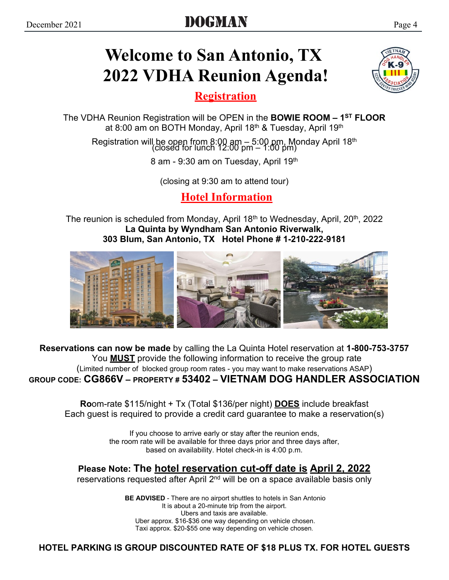# **Welcome to San Antonio, TX 2022 VDHA Reunion Agenda!**

**Registration**

The VDHA Reunion Registration will be OPEN in the **BOWIE ROOM – 1ST FLOOR** at 8:00 am on BOTH Monday, April 18<sup>th</sup> & Tuesday, April 19<sup>th</sup>

Registration will be open from 8:00 am – 5:00 pm, Monday April 18th (closed for lunch 12:00 pm – 1:00 pm)

8 am - 9:30 am on Tuesday, April 19th

(closing at 9:30 am to attend tour)

**Hotel Information**

The reunion is scheduled from Monday, April 18<sup>th</sup> to Wednesday, April, 20<sup>th</sup>, 2022 **La Quinta by Wyndham San Antonio Riverwalk, 303 Blum, San Antonio, TX Hotel Phone # 1-210-222-9181**



**Reservations can now be made** by calling the La Quinta Hotel reservation at **1-800-753-3757** You **MUST** provide the following information to receive the group rate (Limited number of blocked group room rates - you may want to make reservations ASAP) **GROUP CODE: CG866V – PROPERTY # 53402 – VIETNAM DOG HANDLER ASSOCIATION**

**Ro**om-rate \$115/night + Tx (Total \$136/per night) **DOES** include breakfast Each guest is required to provide a credit card guarantee to make a reservation(s)

> If you choose to arrive early or stay after the reunion ends, the room rate will be available for three days prior and three days after, based on availability. Hotel check-in is 4:00 p.m.

## **Please Note: The hotel reservation cut-off date is April 2, 2022**

reservations requested after April 2<sup>nd</sup> will be on a space available basis only

 **BE ADVISED** - There are no airport shuttles to hotels in San Antonio It is about a 20-minute trip from the airport. Ubers and taxis are available. Uber approx. \$16-\$36 one way depending on vehicle chosen. Taxi approx. \$20-\$55 one way depending on vehicle chosen.

**HOTEL PARKING IS GROUP DISCOUNTED RATE OF \$18 PLUS TX. FOR HOTEL GUESTS**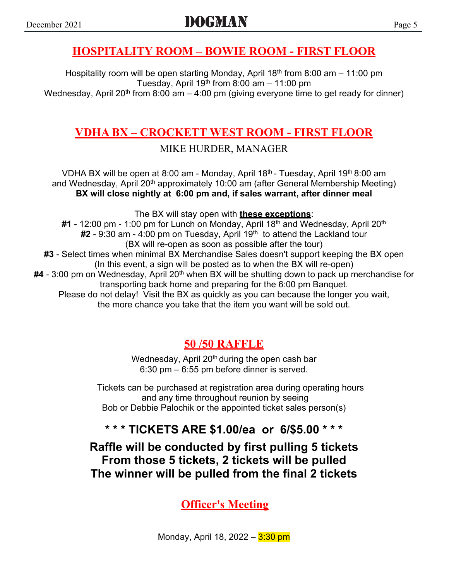### **HOSPITALITY ROOM – BOWIE ROOM - FIRST FLOOR**

Hospitality room will be open starting Monday, April 18<sup>th</sup> from 8:00 am  $-$  11:00 pm Tuesday, April 19<sup>th</sup> from 8:00 am  $-$  11:00 pm Wednesday, April 20<sup>th</sup> from 8:00 am  $-$  4:00 pm (giving everyone time to get ready for dinner)

## **VDHA BX – CROCKETT WEST ROOM - FIRST FLOOR**

MIKE HURDER, MANAGER

VDHA BX will be open at 8:00 am - Monday, April 18<sup>th</sup> - Tuesday, April 19<sup>th</sup> 8:00 am and Wednesday, April 20<sup>th</sup> approximately 10:00 am (after General Membership Meeting) **BX will close nightly at 6:00 pm and, if sales warrant, after dinner meal**

The BX will stay open with **these exceptions**:

#1 - 12:00 pm - 1:00 pm for Lunch on Monday, April 18<sup>th</sup> and Wednesday, April 20<sup>th</sup> #2 - 9:30 am - 4:00 pm on Tuesday, April 19<sup>th</sup> to attend the Lackland tour (BX will re-open as soon as possible after the tour) **#3** - Select times when minimal BX Merchandise Sales doesn't support keeping the BX open (In this event, a sign will be posted as to when the BX will re-open) **#4** - 3:00 pm on Wednesday, April 20<sup>th</sup> when BX will be shutting down to pack up merchandise for transporting back home and preparing for the 6:00 pm Banquet. Please do not delay! Visit the BX as quickly as you can because the longer you wait, the more chance you take that the item you want will be sold out.

## **50 /50 RAFFLE**

Wednesday, April  $20<sup>th</sup>$  during the open cash bar 6:30 pm – 6:55 pm before dinner is served.

Tickets can be purchased at registration area during operating hours and any time throughout reunion by seeing Bob or Debbie Palochik or the appointed ticket sales person(s)

## **\* \* \* TICKETS ARE \$1.00/ea or 6/\$5.00 \* \* \***

**Raffle will be conducted by first pulling 5 tickets From those 5 tickets, 2 tickets will be pulled The winner will be pulled from the final 2 tickets**

**Officer's Meeting**

Monday, April 18, 2022 – 3:30 pm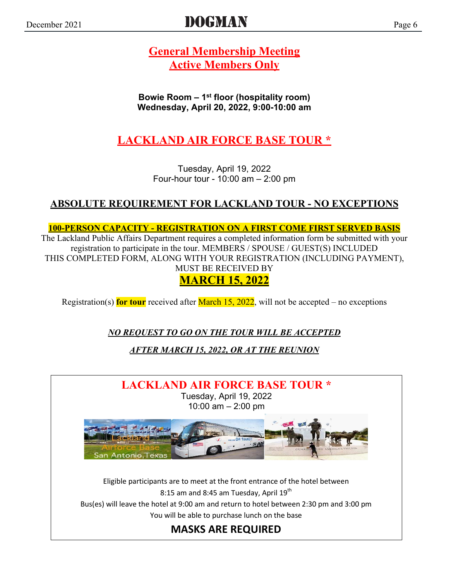# DOGMAN Page 6

**General Membership Meeting Active Members Only**

**Bowie Room – 1st floor (hospitality room) Wednesday, April 20, 2022, 9:00-10:00 am**

**LACKLAND AIR FORCE BASE TOUR \***

Tuesday, April 19, 2022 Four-hour tour - 10:00 am – 2:00 pm

### **ABSOLUTE REQUIREMENT FOR LACKLAND TOUR - NO EXCEPTIONS**

**100-PERSON CAPACITY - REGISTRATION ON A FIRST COME FIRST SERVED BASIS** The Lackland Public Affairs Department requires a completed information form be submitted with your

registration to participate in the tour. MEMBERS / SPOUSE / GUEST(S) INCLUDED THIS COMPLETED FORM, ALONG WITH YOUR REGISTRATION (INCLUDING PAYMENT), MUST BE RECEIVED BY **MARCH 15, 2022**

Registration(s) **for tour** received after March 15, 2022, will not be accepted – no exceptions

*NO REQUEST TO GO ON THE TOUR WILL BE ACCEPTED*

*AFTER MARCH 15, 2022, OR AT THE REUNION*

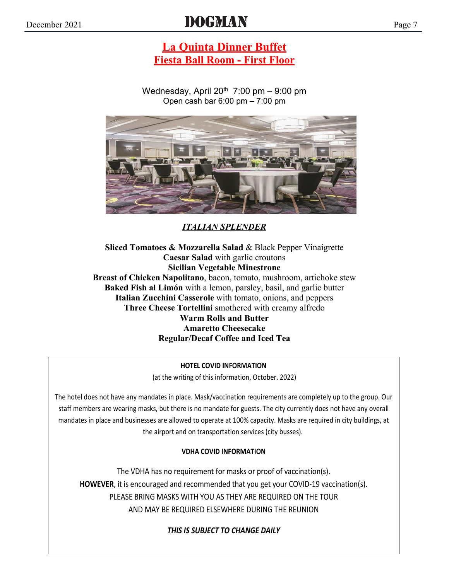# DOGMAN  $Page 7$

### **La Quinta Dinner Buffet Fiesta Ball Room - First Floor**

Wednesday, April  $20^{th}$  7:00 pm  $-$  9:00 pm Open cash bar 6:00 pm – 7:00 pm



*ITALIAN SPLENDER*

**Sliced Tomatoes & Mozzarella Salad** & Black Pepper Vinaigrette **Caesar Salad** with garlic croutons **Sicilian Vegetable Minestrone Breast of Chicken Napolitano**, bacon, tomato, mushroom, artichoke stew **Baked Fish al Limón** with a lemon, parsley, basil, and garlic butter **Italian Zucchini Casserole** with tomato, onions, and peppers **Three Cheese Tortellini** smothered with creamy alfredo **Warm Rolls and Butter Amaretto Cheesecake Regular/Decaf Coffee and Iced Tea**

#### **HOTEL COVID INFORMATION**

(at the writing of this information, October. 2022)

The hotel does not have any mandates in place. Mask/vaccination requirements are completely up to the group. Our staff members are wearing masks, but there is no mandate for guests. The city currently does not have any overall mandates in place and businesses are allowed to operate at 100% capacity. Masks are required in city buildings, at the airport and on transportation services (city busses).

#### **VDHA COVID INFORMATION**

The VDHA has no requirement for masks or proof of vaccination(s). **HOWEVER**, it is encouraged and recommended that you get your COVID-19 vaccination(s). PLEASE BRING MASKS WITH YOU AS THEY ARE REQUIRED ON THE TOUR AND MAY BE REQUIRED ELSEWHERE DURING THE REUNION

*THIS IS SUBJECT TO CHANGE DAILY*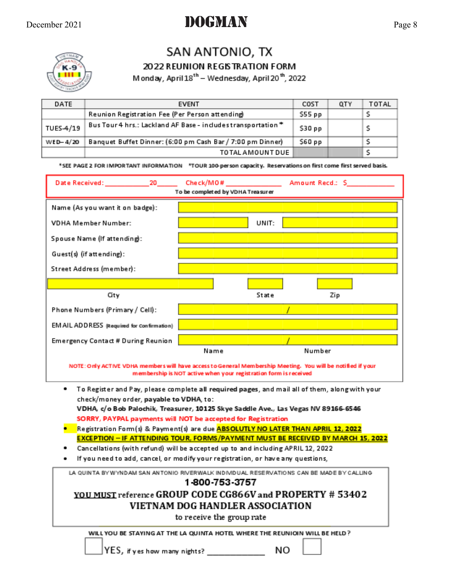# DOGMAN  $P_{\text{age 8}}$



# SAN ANTONIO, TX

#### 2022 REUNION REGISTRATION FORM

Monday, April 18<sup>th</sup> - Wednesday, April 20<sup>th</sup>, 2022

| DATE      | <b>EVENT</b>                                                  | COST   | QTY | TOTAL |
|-----------|---------------------------------------------------------------|--------|-----|-------|
|           | Reunion Registration Fee (Per Person attending)               | S55 pp |     |       |
| TUES-4/19 | Bus Tour 4 hrs.: Lackland AF Base - includes transportation * | 530 pp |     |       |
| WED-4/20  | Banquet Buffet Dinner: (6:00 pm Cash Bar / 7:00 pm Dinner)    | S60 pp |     |       |
|           | TO TAL A MOUNT DUE                                            |        |     |       |

\*SEE PAGE 2 FOR IMPORTANT INFORMATION \*TOUR 100-person capacity. Reservations on first come first served basis.

|                                            | To be completed by VDHA Treasurer |        |
|--------------------------------------------|-----------------------------------|--------|
| Name (As you want it on badge):            |                                   |        |
| <b>VDHA Member Number:</b>                 | UNIT:                             |        |
| Spouse Name (If attending):                |                                   |        |
| Guest(s) (if attending):                   |                                   |        |
| Street Address (member):                   |                                   |        |
|                                            |                                   |        |
| City                                       | State                             | Zip    |
| Phone Numbers (Primary / Cell):            |                                   |        |
| EM AIL ADDRESS (Required for Confirmation) |                                   |        |
| Emergency Contact # During Reunion         |                                   |        |
|                                            | Name                              | Number |

NOTE: Only ACTIVE VDHA members will have access to General Membership Meeting. You will be notified if your membership is NOT active when your registration form is received

- ٠ To Register and Pay, please complete all required pages, and mail all of them, along with your check/money order, payable to VDHA, to: VDHA, c/o Bob Palochik, Treasurer, 10125 Skye Saddle Ave., Las Vegas NV 89166-6546
- SORRY, PAYPAL payments will NOT be accepted for Registration Registration Form(s) & Payment(s) are due ABSOLUTLY NO LATER THAN APRIL 12, 2022
- **EXCEPTION IF ATTENDING TOUR, FORMS/PAYMENT MUST BE RECEIVED BY MARCH 15, 2022**
- Cancellations (with refund) will be accepted up to and including APRIL 12, 2022
- If you need to add, cancel, or modify your registration, or have any questions,

LA QUINTA BY WYNDAM SAN ANTONIO RIVERWALK INDIVIDUAL RESERVATIONS CAN BE MADE BY CALLING

#### 1800 753 3757

### YOU MUST reference GROUP CODE CG866V and PROPERTY # 53402 VIETNAM DOG HANDLER ASSOCIATION

to receive the group rate

WILL YOU BE STAYING AT THE LA QUINTA HOTEL WHERE THE REUNIOIN WILL BE HELD ?



NO

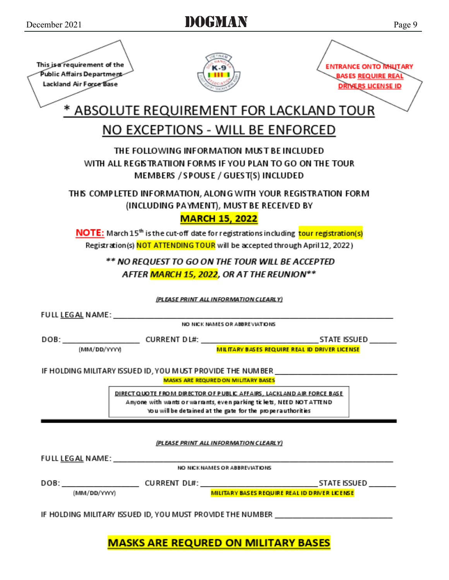| This is a requirement of the<br>Public Affairs Department<br>Lackland Air Force Base | K-9                                                                                                                                                                                                         | <b>ENTRANCE ON TO MILITARY</b><br><b>BASES REQUIRE REAL</b><br><b>DRIVERS LICENSE ID</b>                                                            |
|--------------------------------------------------------------------------------------|-------------------------------------------------------------------------------------------------------------------------------------------------------------------------------------------------------------|-----------------------------------------------------------------------------------------------------------------------------------------------------|
|                                                                                      |                                                                                                                                                                                                             | * ABSOLUTE REQUIREMENT FOR LACKLAND TOUR                                                                                                            |
|                                                                                      | NO EXCEPTIONS - WILL BE ENFORCED                                                                                                                                                                            |                                                                                                                                                     |
|                                                                                      | THE FOLLOWING INFORMATION MUST BE INCLUDED<br>WITH ALL REGISTRATIION FORMS IF YOU PLAN TO GO ON THE TOUR<br>MEMBERS / SPOUSE / GUEST(S) INCLUDED                                                            |                                                                                                                                                     |
|                                                                                      | THIS COMPLETED INFORMATION, ALONG WITH YOUR REGISTRATION FORM<br>(INCLUDING PAYMENT), MUST BE RECEIVED BY<br><b>MARCH 15, 2022</b>                                                                          |                                                                                                                                                     |
|                                                                                      | NOTE: March 15 <sup>th</sup> is the cut-off date for registrations including tour registration(s)<br>Registration(s) NOT ATTENDING TOUR will be accepted through April 12, 2022)                            |                                                                                                                                                     |
|                                                                                      | ** NO REQUEST TO GO ON THE TOUR WILL BE ACCEPTED<br>AFTER MARCH 15, 2022, OR AT THE REUNION**                                                                                                               |                                                                                                                                                     |
|                                                                                      | (PLEASE PRINT ALL INFORMATION CLEARLY)                                                                                                                                                                      |                                                                                                                                                     |
|                                                                                      | NO NICK NAMES OR ABBREVIATIONS                                                                                                                                                                              |                                                                                                                                                     |
|                                                                                      |                                                                                                                                                                                                             |                                                                                                                                                     |
| (MM/DD/YYYY)                                                                         |                                                                                                                                                                                                             | MILITARY BASES REQUIRE REAL ID DRIVER LICENSE                                                                                                       |
|                                                                                      | <b>MASKS ARE REQURED ON MILITARY BASES</b>                                                                                                                                                                  | IF HOLDING MILITARY ISSUED ID, YOU M UST PROVIDE THE NUMBER                                                                                         |
|                                                                                      | DIRECT QUOTE FROM DIRECTOR OF PUBLIC AFFAIRS, LACKLAND AIR FORCE BASE<br>Anyone with wants or warrants, even parking tickets, NEED NOT ATTEND<br>You will be detained at the gate for the properauthorities |                                                                                                                                                     |
|                                                                                      | (PLEASE PRINT ALL INFORMATION CLEARLY)                                                                                                                                                                      |                                                                                                                                                     |
|                                                                                      | NO NICK NAMES OR ABBREVIATIONS                                                                                                                                                                              |                                                                                                                                                     |
| (MM/DD/YYYY)                                                                         |                                                                                                                                                                                                             | DOB: ________________________CURRENT DL#: ___________________________________STATE ISSUED ________<br>MILITARY BASES REQUIRE REAL ID DRIVER LICENSE |
| IF HOLDING MILITARY ISSUED ID, YOU MUST PROVIDE THE NUMBER _____________________     |                                                                                                                                                                                                             |                                                                                                                                                     |

## **MASKS ARE REQURED ON MILITARY BASES**